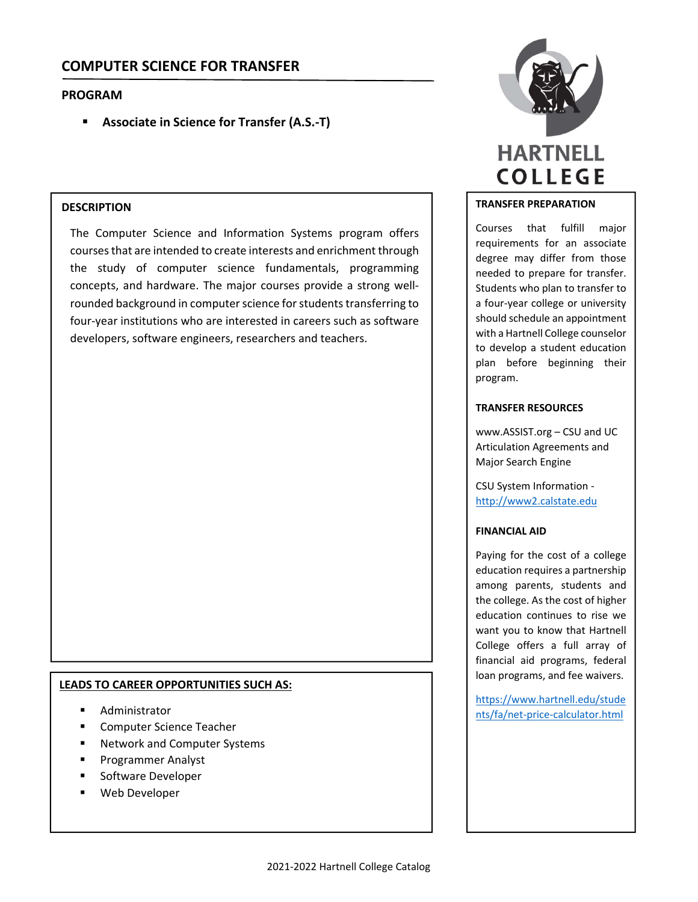# **COMPUTER SCIENCE FOR TRANSFER**

# **PROGRAM**

**Associate in Science for Transfer (A.S.‐T)**

# **DESCRIPTION**

The Computer Science and Information Systems program offers coursesthat are intended to create interests and enrichment through the study of computer science fundamentals, programming concepts, and hardware. The major courses provide a strong well‐ rounded background in computer science for students transferring to four‐year institutions who are interested in careers such as software developers, software engineers, researchers and teachers.

#### **LEADS TO CAREER OPPORTUNITIES SUCH AS:**

- Administrator
- Computer Science Teacher
- **Network and Computer Systems**
- Programmer Analyst
- Software Developer
- Web Developer



# **TRANSFER PREPARATION**

Courses that fulfill major requirements for an associate degree may differ from those needed to prepare for transfer. Students who plan to transfer to a four‐year college or university should schedule an appointment with a Hartnell College counselor to develop a student education plan before beginning their program.

#### **TRANSFER RESOURCES**

www.ASSIST.org – CSU and UC Articulation Agreements and Major Search Engine

CSU System Information ‐ http://www2.calstate.edu

#### **FINANCIAL AID**

Paying for the cost of a college education requires a partnership among parents, students and the college. As the cost of higher education continues to rise we want you to know that Hartnell College offers a full array of financial aid programs, federal loan programs, and fee waivers.

https://www.hartnell.edu/stude nts/fa/net‐price‐calculator.html